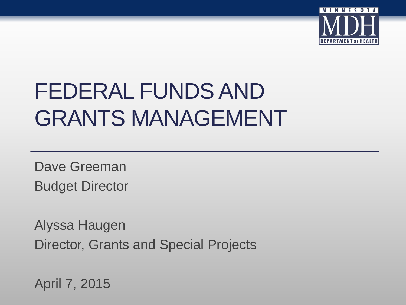

## FEDERAL FUNDS AND GRANTS MANAGEMENT

Dave Greeman Budget Director

Alyssa Haugen Director, Grants and Special Projects

April 7, 2015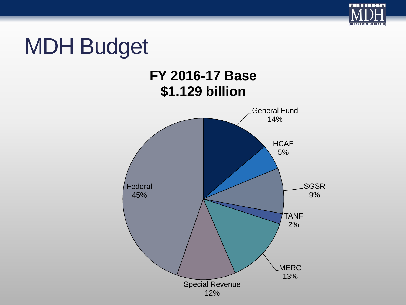

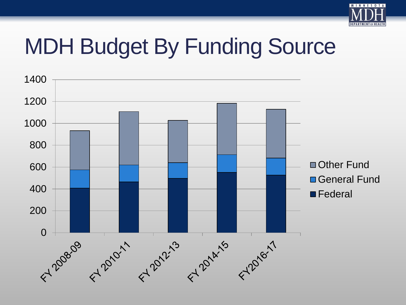

## MDH Budget By Funding Source

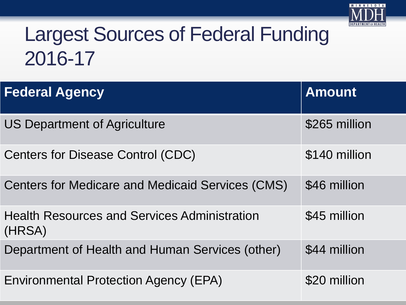

#### Largest Sources of Federal Funding 2016-17

| <b>Federal Agency</b>                                         | <b>Amount</b> |
|---------------------------------------------------------------|---------------|
| <b>US Department of Agriculture</b>                           | \$265 million |
| <b>Centers for Disease Control (CDC)</b>                      | \$140 million |
| <b>Centers for Medicare and Medicaid Services (CMS)</b>       | \$46 million  |
| <b>Health Resources and Services Administration</b><br>(HRSA) | \$45 million  |
| Department of Health and Human Services (other)               | \$44 million  |
| <b>Environmental Protection Agency (EPA)</b>                  | \$20 million  |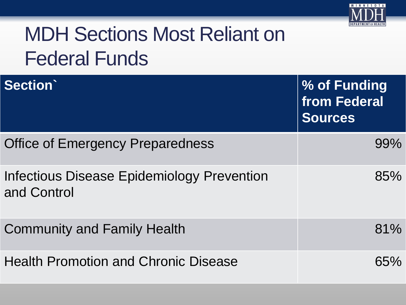

### MDH Sections Most Reliant on Federal Funds

| Section                                                   | % of Funding<br>from Federal<br><b>Sources</b> |
|-----------------------------------------------------------|------------------------------------------------|
| <b>Office of Emergency Preparedness</b>                   | 99%                                            |
| Infectious Disease Epidemiology Prevention<br>and Control | 85%                                            |
| <b>Community and Family Health</b>                        | 81%                                            |
| <b>Health Promotion and Chronic Disease</b>               | 65%                                            |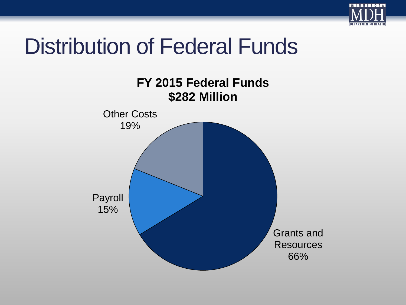

## Distribution of Federal Funds

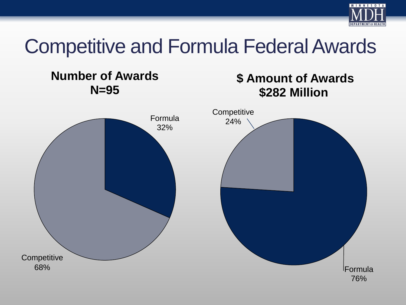

#### Competitive and Formula Federal Awards

#### **Number of Awards N=95**

#### **\$ Amount of Awards \$282 Million**

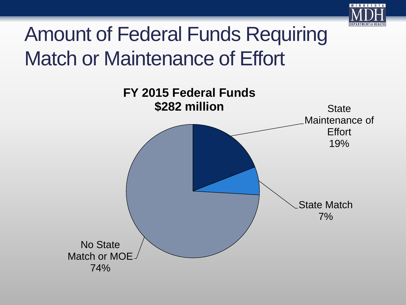

#### Amount of Federal Funds Requiring Match or Maintenance of Effort

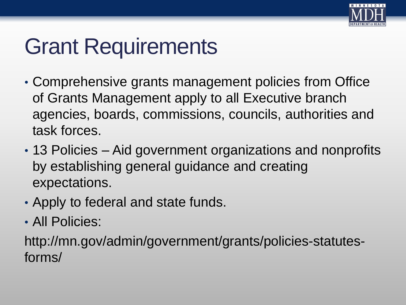

## Grant Requirements

- Comprehensive grants management policies from Office of Grants Management apply to all Executive branch agencies, boards, commissions, councils, authorities and task forces.
- 13 Policies Aid government organizations and nonprofits by establishing general guidance and creating expectations.
- Apply to federal and state funds.
- All Policies:

http://mn.gov/admin/government/grants/policies-statutesforms/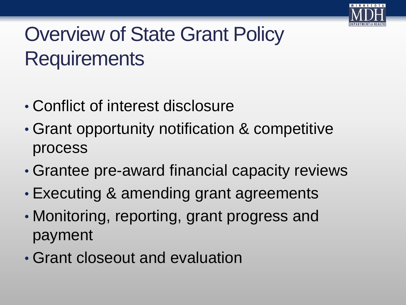

## Overview of State Grant Policy **Requirements**

- Conflict of interest disclosure
- Grant opportunity notification & competitive process
- Grantee pre-award financial capacity reviews
- Executing & amending grant agreements
- Monitoring, reporting, grant progress and payment
- Grant closeout and evaluation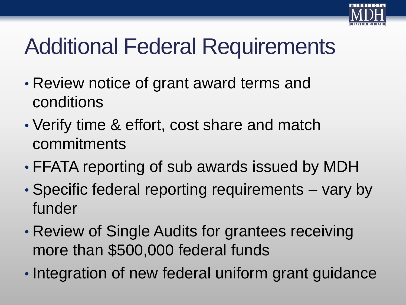

# Additional Federal Requirements

- Review notice of grant award terms and conditions
- Verify time & effort, cost share and match commitments
- FFATA reporting of sub awards issued by MDH
- Specific federal reporting requirements vary by funder
- Review of Single Audits for grantees receiving more than \$500,000 federal funds
- Integration of new federal uniform grant guidance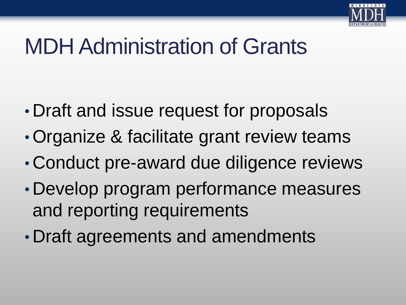

## MDH Administration of Grants

- Draft and issue request for proposals
- •Organize & facilitate grant review teams
- Conduct pre-award due diligence reviews
- Develop program performance measures and reporting requirements
- Draft agreements and amendments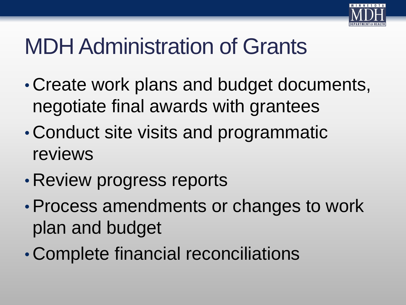

## MDH Administration of Grants

- Create work plans and budget documents, negotiate final awards with grantees
- Conduct site visits and programmatic reviews
- Review progress reports
- •Process amendments or changes to work plan and budget
- Complete financial reconciliations